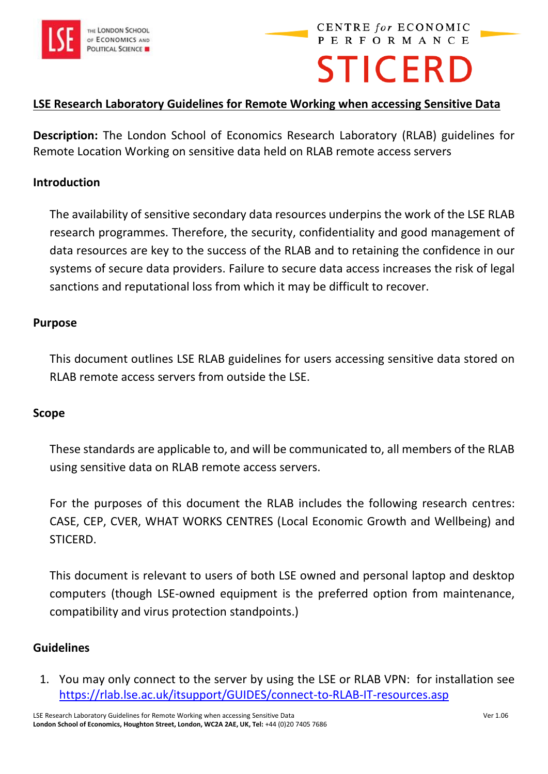

# **PERFORMANCE STICERD**

**CENTRE for ECONOMIC** 

## **LSE Research Laboratory Guidelines for Remote Working when accessing Sensitive Data**

**Description:** The London School of Economics Research Laboratory (RLAB) guidelines for Remote Location Working on sensitive data held on RLAB remote access servers

## **Introduction**

The availability of sensitive secondary data resources underpins the work of the LSE RLAB research programmes. Therefore, the security, confidentiality and good management of data resources are key to the success of the RLAB and to retaining the confidence in our systems of secure data providers. Failure to secure data access increases the risk of legal sanctions and reputational loss from which it may be difficult to recover.

### **Purpose**

This document outlines LSE RLAB guidelines for users accessing sensitive data stored on RLAB remote access servers from outside the LSE.

### **Scope**

These standards are applicable to, and will be communicated to, all members of the RLAB using sensitive data on RLAB remote access servers.

For the purposes of this document the RLAB includes the following research centres: CASE, CEP, CVER, WHAT WORKS CENTRES (Local Economic Growth and Wellbeing) and STICERD.

This document is relevant to users of both LSE owned and personal laptop and desktop computers (though LSE-owned equipment is the preferred option from maintenance, compatibility and virus protection standpoints.)

### **Guidelines**

1. You may only connect to the server by using the LSE or RLAB VPN: for installation see <https://rlab.lse.ac.uk/itsupport/GUIDES/connect-to-RLAB-IT-resources.asp>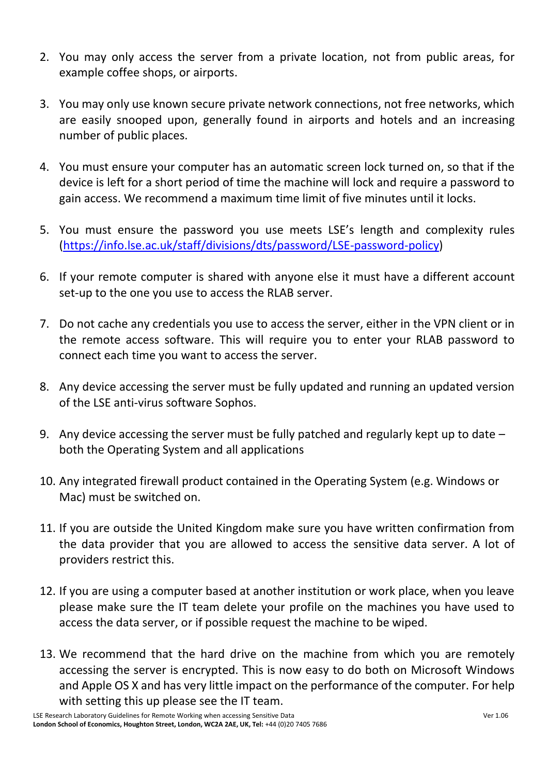- 2. You may only access the server from a private location, not from public areas, for example coffee shops, or airports.
- 3. You may only use known secure private network connections, not free networks, which are easily snooped upon, generally found in airports and hotels and an increasing number of public places.
- 4. You must ensure your computer has an automatic screen lock turned on, so that if the device is left for a short period of time the machine will lock and require a password to gain access. We recommend a maximum time limit of five minutes until it locks.
- 5. You must ensure the password you use meets LSE's length and complexity rules [\(https://info.lse.ac.uk/staff/divisions/dts/password/LSE-password-policy\)](https://info.lse.ac.uk/staff/divisions/dts/password/LSE-password-policy)
- 6. If your remote computer is shared with anyone else it must have a different account set-up to the one you use to access the RLAB server.
- 7. Do not cache any credentials you use to access the server, either in the VPN client or in the remote access software. This will require you to enter your RLAB password to connect each time you want to access the server.
- 8. Any device accessing the server must be fully updated and running an updated version of the LSE anti-virus software Sophos.
- 9. Any device accessing the server must be fully patched and regularly kept up to date both the Operating System and all applications
- 10. Any integrated firewall product contained in the Operating System (e.g. Windows or Mac) must be switched on.
- 11. If you are outside the United Kingdom make sure you have written confirmation from the data provider that you are allowed to access the sensitive data server. A lot of providers restrict this.
- 12. If you are using a computer based at another institution or work place, when you leave please make sure the IT team delete your profile on the machines you have used to access the data server, or if possible request the machine to be wiped.
- 13. We recommend that the hard drive on the machine from which you are remotely accessing the server is encrypted. This is now easy to do both on Microsoft Windows and Apple OS X and has very little impact on the performance of the computer. For help with setting this up please see the IT team.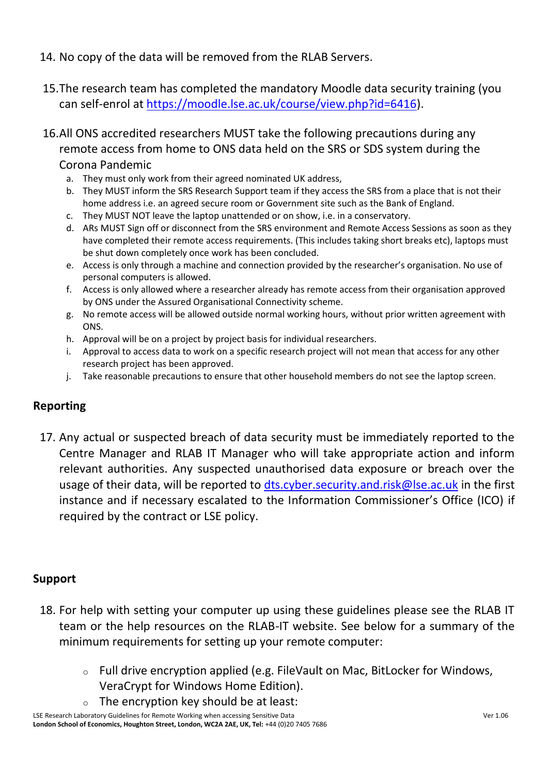- 14. No copy of the data will be removed from the RLAB Servers.
- 15.The research team has completed the mandatory Moodle data security training (you can self-enrol at [https://moodle.lse.ac.uk/course/view.php?id=6416\)](https://moodle.lse.ac.uk/course/view.php?id=6416).
- 16.All ONS accredited researchers MUST take the following precautions during any remote access from home to ONS data held on the SRS or SDS system during the Corona Pandemic
	- a. They must only work from their agreed nominated UK address,
	- b. They MUST inform the SRS Research Support team if they access the SRS from a place that is not their home address i.e. an agreed secure room or Government site such as the Bank of England.
	- c. They MUST NOT leave the laptop unattended or on show, i.e. in a conservatory.
	- d. ARs MUST Sign off or disconnect from the SRS environment and Remote Access Sessions as soon as they have completed their remote access requirements. (This includes taking short breaks etc), laptops must be shut down completely once work has been concluded.
	- e. Access is only through a machine and connection provided by the researcher's organisation. No use of personal computers is allowed.
	- f. Access is only allowed where a researcher already has remote access from their organisation approved by ONS under the Assured Organisational Connectivity scheme.
	- g. No remote access will be allowed outside normal working hours, without prior written agreement with ONS.
	- h. Approval will be on a project by project basis for individual researchers.
	- i. Approval to access data to work on a specific research project will not mean that access for any other research project has been approved.
	- j. Take reasonable precautions to ensure that other household members do not see the laptop screen.

## **Reporting**

17. Any actual or suspected breach of data security must be immediately reported to the Centre Manager and RLAB IT Manager who will take appropriate action and inform relevant authorities. Any suspected unauthorised data exposure or breach over the usage of their data, will be reported to [dts.cyber.security.and.risk@lse.ac.uk](mailto:dts.cyber.security.and.risk@lse.ac.uk) in the first instance and if necessary escalated to the Information Commissioner's Office (ICO) if required by the contract or LSE policy.

# **Support**

- 18. For help with setting your computer up using these guidelines please see the RLAB IT team or the help resources on the RLAB-IT website. See below for a summary of the minimum requirements for setting up your remote computer:
	- o Full drive encryption applied (e.g. FileVault on Mac, BitLocker for Windows, VeraCrypt for Windows Home Edition).
	- $\circ$  The encryption key should be at least:

LSE Research Laboratory Guidelines for Remote Working when accessing Sensitive Data Ver 1.06 London School of Economics, Houghton Street, London, WC2A 2AE, UK, Tel: +44 (0)20 7405 7686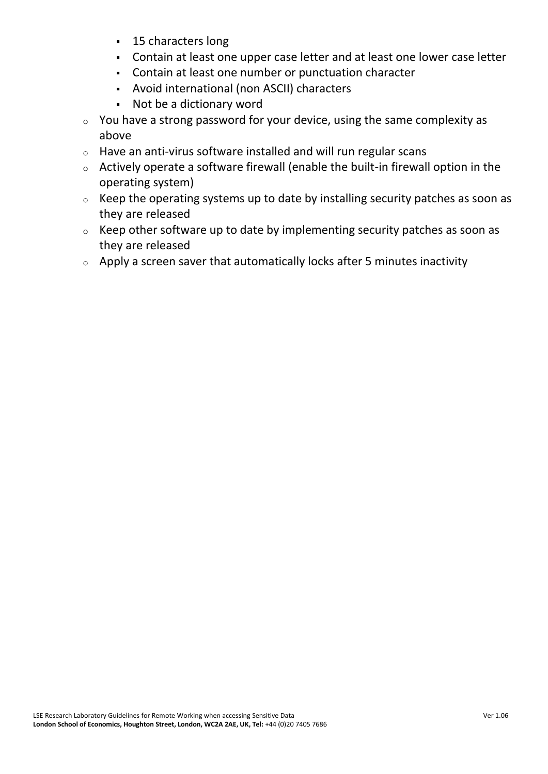- 15 characters long
- Contain at least one upper case letter and at least one lower case letter
- Contain at least one number or punctuation character
- Avoid international (non ASCII) characters
- Not be a dictionary word
- $\circ$  You have a strong password for your device, using the same complexity as above
- o Have an anti-virus software installed and will run regular scans
- o Actively operate a software firewall (enable the built-in firewall option in the operating system)
- o Keep the operating systems up to date by installing security patches as soon as they are released
- o Keep other software up to date by implementing security patches as soon as they are released
- $\circ$  Apply a screen saver that automatically locks after 5 minutes inactivity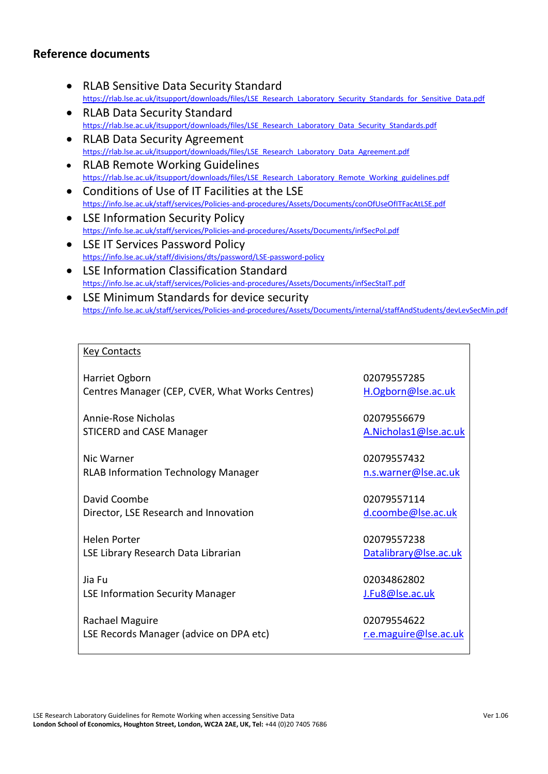## **Reference documents**

- RLAB Sensitive Data Security Standard [https://rlab.lse.ac.uk/itsupport/downloads/files/LSE\\_Research\\_Laboratory\\_Security\\_Standards\\_for\\_Sensitive\\_Data.pdf](https://rlab.lse.ac.uk/itsupport/downloads/files/LSE_Research_Laboratory_Security_Standards_for_Sensitive_Data.pdf)
- RLAB Data Security Standard [https://rlab.lse.ac.uk/itsupport/downloads/files/LSE\\_Research\\_Laboratory\\_Data\\_Security\\_Standards.pdf](https://rlab.lse.ac.uk/itsupport/downloads/files/LSE_Research_Laboratory_Data_Security_Standards.pdf)
- RLAB Data Security Agreement [https://rlab.lse.ac.uk/itsupport/downloads/files/LSE\\_Research\\_Laboratory\\_Data\\_Agreement.pdf](https://rlab.lse.ac.uk/itsupport/downloads/files/LSE_Research_Laboratory_Data_Agreement.pdf)
- RLAB Remote Working Guidelines [https://rlab.lse.ac.uk/itsupport/downloads/files/LSE\\_Research\\_Laboratory\\_Remote\\_Working\\_guidelines.pdf](https://rlab.lse.ac.uk/itsupport/downloads/files/LSE_Research_Laboratory_Remote_Working_guidelines.pdf)
- Conditions of Use of IT Facilities at the LSE <https://info.lse.ac.uk/staff/services/Policies-and-procedures/Assets/Documents/conOfUseOfITFacAtLSE.pdf>
- LSE Information Security Policy <https://info.lse.ac.uk/staff/services/Policies-and-procedures/Assets/Documents/infSecPol.pdf>
- LSE IT Services Password Policy <https://info.lse.ac.uk/staff/divisions/dts/password/LSE-password-policy>
- LSE Information Classification Standard <https://info.lse.ac.uk/staff/services/Policies-and-procedures/Assets/Documents/infSecStaIT.pdf>
- LSE Minimum Standards for device security <https://info.lse.ac.uk/staff/services/Policies-and-procedures/Assets/Documents/internal/staffAndStudents/devLevSecMin.pdf>

#### Key Contacts

Harriet Ogborn Centres Manager (CEP, CVER, What Works Centres)

Annie-Rose Nicholas STICERD and CASE Manager

Nic Warner RLAB Information Technology Manager

David Coombe Director, LSE Research and Innovation

Helen Porter LSE Library Research Data Librarian

Jia Fu LSE Information Security Manager

Rachael Maguire LSE Records Manager (advice on DPA etc) 02079557285 [H.Ogborn@lse.ac.uk](mailto:H.Ogborn@lse.ac.uk)

02079556679 [A.Nicholas1@lse.ac.uk](mailto:A.Nicholas1@lse.ac.uk)

02079557432 [n.s.warner@lse.ac.uk](mailto:n.s.warner@lse.ac.uk)

02079557114 [d.coombe@lse.ac.uk](mailto:d.coombe@lse.ac.uk)

02079557238 [Datalibrary@lse.ac.uk](mailto:Datalibrary@lse.ac.uk)

02034862802 [J.Fu8@lse.ac.uk](mailto:J.Fu8@lse.ac.uk)

02079554622 [r.e.maguire@lse.ac.uk](mailto:r.e.maguire@lse.ac.uk)